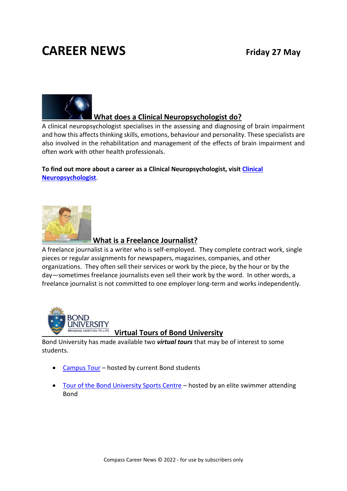## **CAREER NEWS Friday 27 May**



#### **What does a Clinical Neuropsychologist do?**

A clinical neuropsychologist specialises in the assessing and diagnosing of brain impairment and how this affects thinking skills, emotions, behaviour and personality. These specialists are also involved in the rehabilitation and management of the effects of brain impairment and often work with other health professionals.

**To find out more about a career as a Clinical Neuropsychologist, visi[t Clinical](https://www.psychology.org.au/for-the-public/about-psychology/types-of-psychologists/Psychologists-with-an-Area-of-Practice-Endorsement/Clinical-neuropsychologists)  [Neuropsychologist](https://www.psychology.org.au/for-the-public/about-psychology/types-of-psychologists/Psychologists-with-an-Area-of-Practice-Endorsement/Clinical-neuropsychologists)**.



#### **What is a Freelance Journalist?**

A freelance journalist is a writer who is self-employed. They complete contract work, single pieces or regular assignments for newspapers, magazines, companies, and other organizations. They often sell their services or work by the piece, by the hour or by the day—sometimes freelance journalists even sell their work by the word. In other words, a freelance journalist is not committed to one employer long-term and works independently.



#### **Virtual Tours of Bond University**

Bond University has made available two *virtual tours* that may be of interest to some students.

- [Campus Tour](https://www.youtube.com/watch?v=JynvFXYnjXU) hosted by current Bond students
- [Tour of the Bond University Sports Centre](https://www.youtube.com/watch?v=rKMpZn6Q4gk) hosted by an elite swimmer attending Bond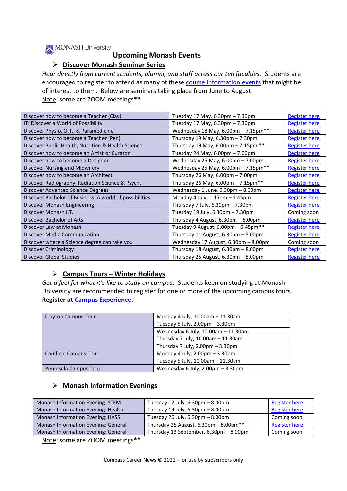

#### **Upcoming Monash Events**

#### ➢ **Discover Monash Seminar Series**

*Hear directly from current students, alumni, and staff across our ten faculties.* Students are encouraged to register to attend as many of these [course information events](https://www.monash.edu/discover/events/course-information) that might be of interest to them. Below are seminars taking place from June to August. Note: some are ZOOM meetings**\*\***

| Discover how to become a Teacher (Clay)                 | Tuesday 17 May, 6.30pm - 7.30pm                         | <b>Register here</b> |
|---------------------------------------------------------|---------------------------------------------------------|----------------------|
| IT: Discover a World of Possibility                     | Tuesday 17 May, 6.30pm - 7.30pm                         | <b>Register here</b> |
| Discover Physio, O.T., & Paramedicine                   | Wednesday 18 May, 6.00pm - 7.15pm**                     | <b>Register here</b> |
| Discover how to become a Teacher (Pen)                  | Thursday 19 May, $6.30 \text{pm} - 7.30 \text{pm}$      | <b>Register here</b> |
| Discover Public Health, Nutrition & Health Science      | Thursday 19 May, 6.00pm - 7.15pm **                     | <b>Register here</b> |
| Discover how to become an Artist or Curator             | Tuesday 24 May, 6.00pm - 7.00pm                         | <b>Register here</b> |
| Discover how to become a Designer                       | Wednesday 25 May, 6.00pm - 7.00pm                       | <b>Register here</b> |
| Discover Nursing and Midwifery                          | Wednesday 25 May, 6.00pm - 7.15pm**                     | <b>Register here</b> |
| Discover how to become an Architect                     | Thursday 26 May, $6.00 \text{pm} - 7.00 \text{pm}$      | <b>Register here</b> |
| Discover Radiography, Radiation Science & Psych.        | Thursday 26 May, $6.00 \text{pm} - 7.15 \text{pm}^{**}$ | <b>Register here</b> |
| Discover Advanced Science Degrees                       | Wednesday 1 June, 6.30pm - 8.00pm                       | <b>Register here</b> |
| Discover Bachelor of Business: A world of possibilities | Monday 4 July, $1.15 \text{pm} - 1.45 \text{pm}$        | <b>Register here</b> |
| Discover Monash Engineering                             | Thursday 7 July, $6.30 \text{pm} - 7.30 \text{pm}$      | <b>Register here</b> |
| Discover Monash I.T.                                    | Tuesday 19 July, 6.30pm - 7.30pm                        | Coming soon          |
| Discover Bachelor of Arts                               | Thursday 4 August, 6.30pm - 8.00pm                      | <b>Register here</b> |
| Discover Law at Monash                                  | Tuesday 9 August, $6.00 \text{pm} - 6.45 \text{pm}$ **  | <b>Register here</b> |
| Discover Media Communication                            | Thursday 11 August, $6.30 \text{pm} - 8.00 \text{pm}$   | <b>Register here</b> |
| Discover where a Science degree can take you            | Wednesday 17 August, 6.30pm - 8.00pm                    | Coming soon          |
| Discover Criminology                                    | Thursday 18 August, $6.30 \text{pm} - 8.00 \text{pm}$   | <b>Register here</b> |
| Discover Global Studies                                 | Thursday 25 August, $6.30 \text{pm} - 8.00 \text{pm}$   | <b>Register here</b> |

#### ➢ **Campus Tours – Winter Holidays**

*Get a feel for what it's like to study on campus.* Students keen on studying at Monash University are recommended to register for one or more of the upcoming campus tours. **Register at [Campus Experience.](https://www.monash.edu/discover/events/campus-experience)**

| <b>Clayton Campus Tour</b> | Monday 4 July, 10.00am - 11.30am                   |
|----------------------------|----------------------------------------------------|
|                            | Tuesday 5 July, $2.00 \text{pm} - 3.30 \text{pm}$  |
|                            | Wednesday 6 July, 10.00am - 11.30am                |
|                            | Thursday 7 July, 10.00am - 11.30am                 |
|                            | Thursday 7 July, $2.00 \text{pm} - 3.30 \text{pm}$ |
| Caulfield Campus Tour      | Monday 4 July, $2.00 \text{pm} - 3.30 \text{pm}$   |
|                            | Tuesday 5 July, 10.00am - 11.30am                  |
| Peninsula Campus Tour      | Wednesday 6 July, 2.00pm - 3.30pm                  |

#### ➢ **Monash Information Evenings**

| Monash Information Evening: STEM    | Tuesday 12 July, $6.30 \text{pm} - 8.00 \text{pm}$       | <b>Register here</b> |
|-------------------------------------|----------------------------------------------------------|----------------------|
| Monash Information Evening: Health  | Tuesday 19 July, 6.30pm - 8.00pm                         | <b>Register here</b> |
| Monash Information Evening: HASS    | Tuesday 26 July, 6.30pm - 8.00pm                         | Coming soon          |
| Monash Information Evening: General | Thursday 25 August, $6.30 \text{pm} - 8.00 \text{pm}$ ** | <b>Register here</b> |
| Monash Information Evening: General | Thursday 13 September, 6.30pm - 8.00pm                   | Coming soon          |

Note: some are ZOOM meetings**\*\***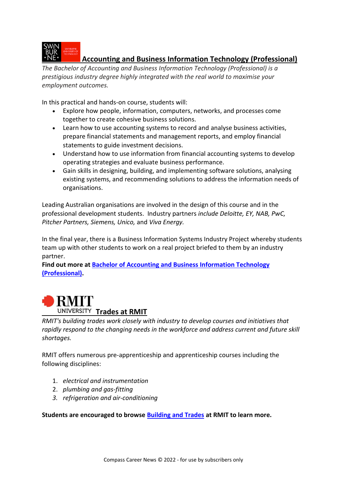

#### **Accounting and Business Information Technology (Professional)**

*The Bachelor of Accounting and Business Information Technology (Professional) is a prestigious industry degree highly integrated with the real world to maximise your employment outcomes.* 

In this practical and hands-on course, students will:

- Explore how people, information, computers, networks, and processes come together to create cohesive business solutions.
- Learn how to use accounting systems to record and analyse business activities, prepare financial statements and management reports, and employ financial statements to guide investment decisions.
- Understand how to use information from financial accounting systems to develop operating strategies and evaluate business performance.
- Gain skills in designing, building, and implementing software solutions, analysing existing systems, and recommending solutions to address the information needs of organisations.

Leading Australian organisations are involved in the design of this course and in the professional development students. Industry partners *include Deloitte, EY, NAB, PwC, Pitcher Partners, Siemens, Unico,* and *Viva Energy.* 

In the final year, there is a Business Information Systems Industry Project whereby students team up with other students to work on a real project briefed to them by an industry partner.

**Find out more at [Bachelor of Accounting and Business Information Technology](https://www.swinburne.edu.au/study/course/bachelor-of-accounting-and-business-information-technology-professional/)  [\(Professional\).](https://www.swinburne.edu.au/study/course/bachelor-of-accounting-and-business-information-technology-professional/)** 



*RMIT's building trades work closely with industry to develop courses and initiatives that rapidly respond to the changing needs in the workforce and address current and future skill shortages.*

RMIT offers numerous pre-apprenticeship and apprenticeship courses including the following disciplines:

- 1. *electrical and instrumentation*
- 2. *plumbing and gas-fitting*
- *3. refrigeration and air-conditioning*

**Students are encouraged to browse [Building and Trades](https://www.rmit.edu.au/study-with-us/building/building-and-trades) at RMIT to learn more.**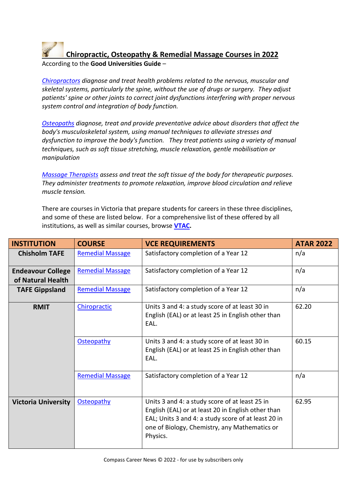## **Chiropractic, Osteopathy & Remedial Massage Courses in 2022**

According to the **Good Universities Guide** –

*[Chiropractors](https://www.gooduniversitiesguide.com.au/careers-guide/browse/chiropractor) diagnose and treat health problems related to the nervous, muscular and skeletal systems, particularly the spine, without the use of drugs or surgery. They adjust patients' spine or other joints to correct joint dysfunctions interfering with proper nervous system control and integration of body function.*

*[Osteopaths](https://www.gooduniversitiesguide.com.au/careers-guide/browse/osteopath) diagnose, treat and provide preventative advice about disorders that affect the body's musculoskeletal system, using manual techniques to alleviate stresses and dysfunction to improve the body's function. They treat patients using a variety of manual techniques, such as soft tissue stretching, muscle relaxation, gentle mobilisation or manipulation*

*[Massage Therapists](https://www.gooduniversitiesguide.com.au/careers-guide/browse/massage-therapist) assess and treat the soft tissue of the body for therapeutic purposes. They administer treatments to promote relaxation, improve blood circulation and relieve muscle tension.*

There are courses in Victoria that prepare students for careers in these three disciplines, and some of these are listed below. For a comprehensive list of these offered by all institutions, as well as similar courses, browse **[VTAC.](http://www.vtac.edu.au/)**

| <b>INSTITUTION</b>                            | <b>COURSE</b>           | <b>VCE REQUIREMENTS</b>                                                                                                                                                                                                  | <b>ATAR 2022</b> |
|-----------------------------------------------|-------------------------|--------------------------------------------------------------------------------------------------------------------------------------------------------------------------------------------------------------------------|------------------|
| <b>Chisholm TAFE</b>                          | <b>Remedial Massage</b> | Satisfactory completion of a Year 12                                                                                                                                                                                     | n/a              |
| <b>Endeavour College</b><br>of Natural Health | <b>Remedial Massage</b> | Satisfactory completion of a Year 12                                                                                                                                                                                     | n/a              |
| <b>TAFE Gippsland</b>                         | <b>Remedial Massage</b> | Satisfactory completion of a Year 12                                                                                                                                                                                     | n/a              |
| <b>RMIT</b>                                   | Chiropractic            | Units 3 and 4: a study score of at least 30 in<br>English (EAL) or at least 25 in English other than<br>EAL.                                                                                                             | 62.20            |
|                                               | Osteopathy              | Units 3 and 4: a study score of at least 30 in<br>English (EAL) or at least 25 in English other than<br>EAL.                                                                                                             | 60.15            |
|                                               | <b>Remedial Massage</b> | Satisfactory completion of a Year 12                                                                                                                                                                                     | n/a              |
| <b>Victoria University</b>                    | Osteopathy              | Units 3 and 4: a study score of at least 25 in<br>English (EAL) or at least 20 in English other than<br>EAL; Units 3 and 4: a study score of at least 20 in<br>one of Biology, Chemistry, any Mathematics or<br>Physics. | 62.95            |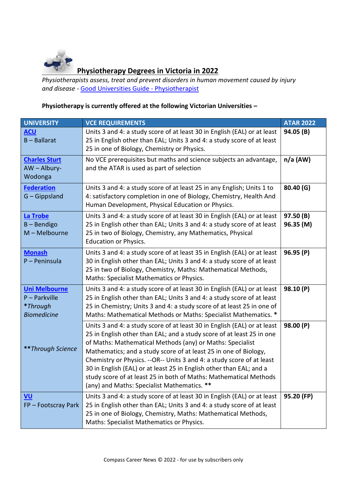

### **Physiotherapy Degrees in Victoria in 2022**

*Physiotherapists assess, treat and prevent disorders in human movement caused by injury and disease -* [Good Universities Guide -](https://www.gooduniversitiesguide.com.au/careers-guide/browse/physiotherapist) Physiotherapist

#### **Physiotherapy is currently offered at the following Victorian Universities –**

| <b>UNIVERSITY</b>                                                         | <b>VCE REQUIREMENTS</b>                                                                                                                                                                                                                                                                                                                                                                                                                                                                                                                                 | <b>ATAR 2022</b>       |
|---------------------------------------------------------------------------|---------------------------------------------------------------------------------------------------------------------------------------------------------------------------------------------------------------------------------------------------------------------------------------------------------------------------------------------------------------------------------------------------------------------------------------------------------------------------------------------------------------------------------------------------------|------------------------|
| <b>ACU</b><br>$B - Ballarat$                                              | Units 3 and 4: a study score of at least 30 in English (EAL) or at least<br>25 in English other than EAL; Units 3 and 4: a study score of at least<br>25 in one of Biology, Chemistry or Physics.                                                                                                                                                                                                                                                                                                                                                       | 94.05 (B)              |
| <b>Charles Sturt</b><br>AW - Albury-<br>Wodonga                           | No VCE prerequisites but maths and science subjects an advantage,<br>and the ATAR is used as part of selection                                                                                                                                                                                                                                                                                                                                                                                                                                          | $n/a$ (AW)             |
| <b>Federation</b><br>$G - G$ ippsland                                     | Units 3 and 4: a study score of at least 25 in any English; Units 1 to<br>4: satisfactory completion in one of Biology, Chemistry, Health And<br>Human Development, Physical Education or Physics.                                                                                                                                                                                                                                                                                                                                                      | 80.40 (G)              |
| La Trobe<br>$B -$ Bendigo<br>$M - Melbourne$                              | Units 3 and 4: a study score of at least 30 in English (EAL) or at least<br>25 in English other than EAL; Units 3 and 4: a study score of at least<br>25 in two of Biology, Chemistry, any Mathematics, Physical<br>Education or Physics.                                                                                                                                                                                                                                                                                                               | 97.50 (B)<br>96.35 (M) |
| <b>Monash</b><br>P - Peninsula                                            | Units 3 and 4: a study score of at least 35 in English (EAL) or at least<br>30 in English other than EAL; Units 3 and 4: a study score of at least<br>25 in two of Biology, Chemistry, Maths: Mathematical Methods,<br>Maths: Specialist Mathematics or Physics.                                                                                                                                                                                                                                                                                        | 96.95 (P)              |
| <b>Uni Melbourne</b><br>$P -$ Parkville<br>*Through<br><b>Biomedicine</b> | Units 3 and 4: a study score of at least 30 in English (EAL) or at least<br>25 in English other than EAL; Units 3 and 4: a study score of at least<br>25 in Chemistry; Units 3 and 4: a study score of at least 25 in one of<br>Maths: Mathematical Methods or Maths: Specialist Mathematics. *                                                                                                                                                                                                                                                         | 98.10 (P)              |
| ** Through Science                                                        | Units 3 and 4: a study score of at least 30 in English (EAL) or at least<br>25 in English other than EAL; and a study score of at least 25 in one<br>of Maths: Mathematical Methods (any) or Maths: Specialist<br>Mathematics; and a study score of at least 25 in one of Biology,<br>Chemistry or Physics. -- OR-- Units 3 and 4: a study score of at least<br>30 in English (EAL) or at least 25 in English other than EAL; and a<br>study score of at least 25 in both of Maths: Mathematical Methods<br>(any) and Maths: Specialist Mathematics. ** | 98.00 (P)              |
| <u>VU</u><br>FP-Footscray Park                                            | Units 3 and 4: a study score of at least 30 in English (EAL) or at least<br>25 in English other than EAL; Units 3 and 4: a study score of at least<br>25 in one of Biology, Chemistry, Maths: Mathematical Methods,<br>Maths: Specialist Mathematics or Physics.                                                                                                                                                                                                                                                                                        | 95.20 (FP)             |